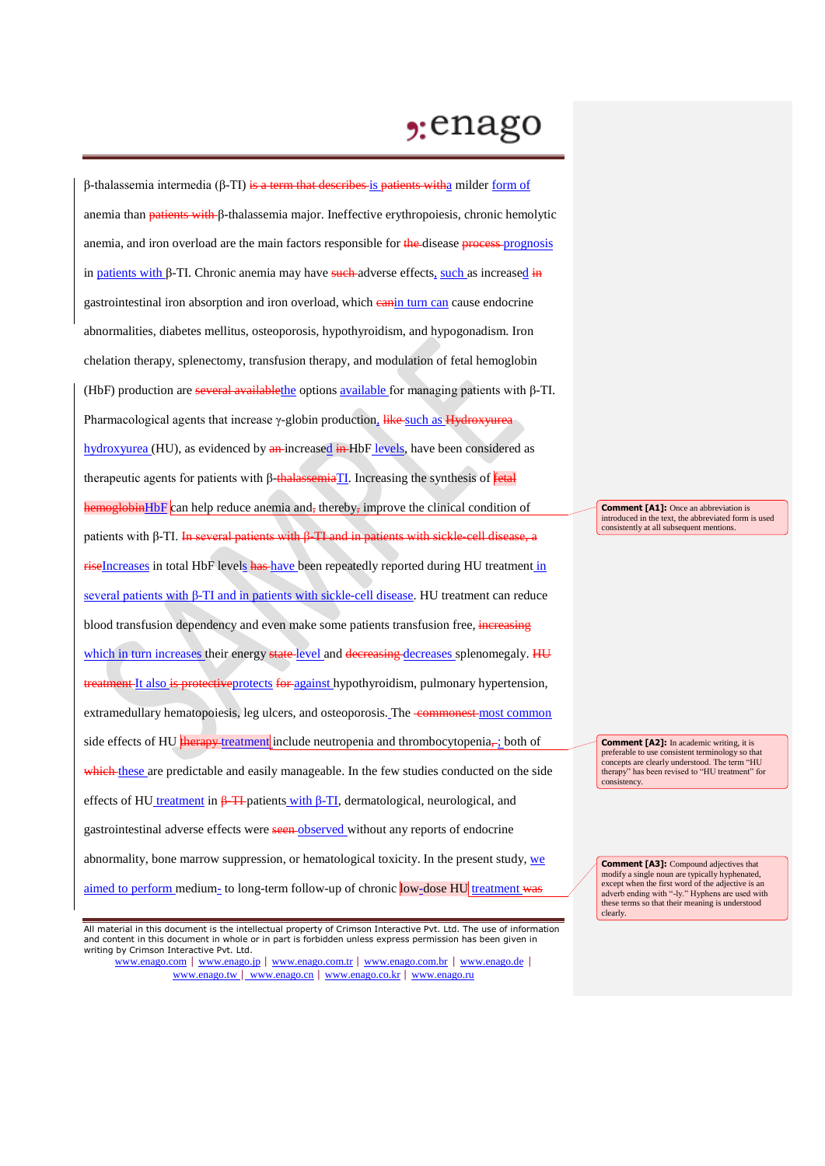## $2:$ enago

β-thalassemia intermedia (β-TI) is a term that describes is patients with a milder form of anemia than patients with β-thalassemia major. Ineffective erythropoiesis, chronic hemolytic anemia, and iron overload are the main factors responsible for the disease process-prognosis in patients with β-TI. Chronic anemia may have such-adverse effects, such as increased in gastrointestinal iron absorption and iron overload, which can in turn can cause endocrine abnormalities, diabetes mellitus, osteoporosis, hypothyroidism, and hypogonadism. Iron chelation therapy, splenectomy, transfusion therapy, and modulation of fetal hemoglobin (HbF) production are several availablethe options available for managing patients with β-TI. Pharmacological agents that increase γ-globin production, like-such as Hydroxyurea hydroxyurea (HU), as evidenced by an increased in HbF levels, have been considered as therapeutic agents for patients with β-thalassemiaTI. Increasing the synthesis of fetal hemoglobinHbF can help reduce anemia and, thereby, improve the clinical condition of patients with β-TI. In several patients with β-TI and in patients with sickle-cell disease, a riseIncreases in total HbF levels has have been repeatedly reported during HU treatment in several patients with β-TI and in patients with sickle-cell disease. HU treatment can reduce blood transfusion dependency and even make some patients transfusion free, increasing which in turn increases their energy state-level and decreasing decreases splenomegaly. HU treatment It also is protective protects for against hypothyroidism, pulmonary hypertension, extramedullary hematopoiesis, leg ulcers, and osteoporosis. The commonest most common side effects of HU therapy treatment include neutropenia and thrombocytopenia, is both of which these are predictable and easily manageable. In the few studies conducted on the side effects of HU treatment in β-TI patients with β-TI, dermatological, neurological, and gastrointestinal adverse effects were seen observed without any reports of endocrine abnormality, bone marrow suppression, or hematological toxicity. In the present study, we aimed to perform medium- to long-term follow-up of chronic low-dose HU treatment was

www.enago.com | www.enago.jp | www.enago.com.tr | www.enago.com.br | www.enago.de | www.enago.tw | www.enago.cn | www.enago.co.kr | www.enago.ru

**Comment [A1]:** Once an abbreviation is introduced in the text, the abbreviated form is used consistently at all subsequent mentions.

**Comment [A2]:** In academic writing, it is preferable to use consistent terminology so that concepts are clearly understood. The term "HU therapy" has been revised to "HU treatment" for consistency.

**Comment [A3]:** Compound adjectives that modify a single noun are typically hyphenated, except when the first word of the adjective is an adverb ending with "-ly." Hyphens are used with these terms so that their meaning is understood clearly.

All material in this document is the intellectual property of Crimson Interactive Pvt. Ltd. The use of information and content in this document in whole or in part is forbidden unless express permission has been given in writing by Crimson Interactive Pvt. Ltd.